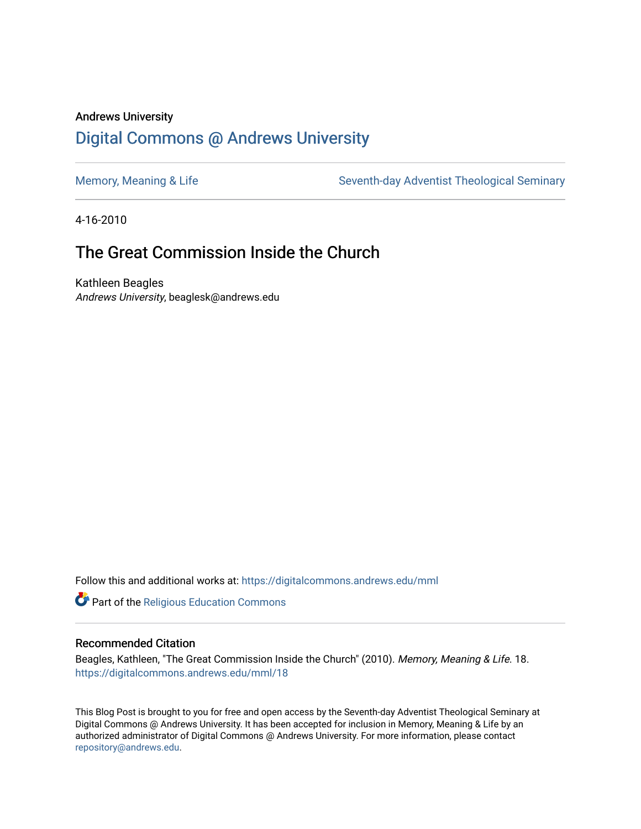## Andrews University [Digital Commons @ Andrews University](https://digitalcommons.andrews.edu/)

[Memory, Meaning & Life](https://digitalcommons.andrews.edu/mml) Seventh-day Adventist Theological Seminary

4-16-2010

# The Great Commission Inside the Church

Kathleen Beagles Andrews University, beaglesk@andrews.edu

Follow this and additional works at: [https://digitalcommons.andrews.edu/mml](https://digitalcommons.andrews.edu/mml?utm_source=digitalcommons.andrews.edu%2Fmml%2F18&utm_medium=PDF&utm_campaign=PDFCoverPages) 

**Part of the [Religious Education Commons](http://network.bepress.com/hgg/discipline/1414?utm_source=digitalcommons.andrews.edu%2Fmml%2F18&utm_medium=PDF&utm_campaign=PDFCoverPages)** 

#### Recommended Citation

Beagles, Kathleen, "The Great Commission Inside the Church" (2010). Memory, Meaning & Life. 18. [https://digitalcommons.andrews.edu/mml/18](https://digitalcommons.andrews.edu/mml/18?utm_source=digitalcommons.andrews.edu%2Fmml%2F18&utm_medium=PDF&utm_campaign=PDFCoverPages)

This Blog Post is brought to you for free and open access by the Seventh-day Adventist Theological Seminary at Digital Commons @ Andrews University. It has been accepted for inclusion in Memory, Meaning & Life by an authorized administrator of Digital Commons @ Andrews University. For more information, please contact [repository@andrews.edu](mailto:repository@andrews.edu).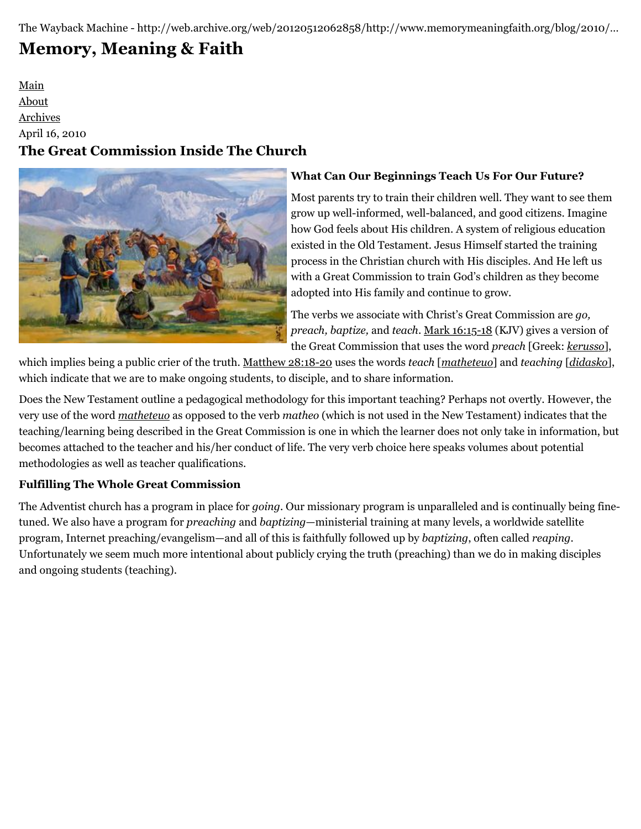The Wayback Machine - http://web.archive.org/web/20120512062858/http://www.memorymeaningfaith.org/blog/2010/…

# **[Memory, Meaning & Faith](http://web.archive.org/web/20120512062858/http://www.memorymeaningfaith.org/blog/)**

[Main](http://web.archive.org/web/20120512062858/http://www.memorymeaningfaith.org/blog) [About](http://web.archive.org/web/20120512062858/http://www.memorymeaningfaith.org/blog/about.html) [Archives](http://web.archive.org/web/20120512062858/http://www.memorymeaningfaith.org/blog/archives.html) April 16, 2010 **The Great Commission Inside The Church**



## **What Can Our Beginnings Teach Us For Our Future?**

Most parents try to train their children well. They want to see them grow up well-informed, well-balanced, and good citizens. Imagine how God feels about His children. A system of religious education existed in the Old Testament. Jesus Himself started the training process in the Christian church with His disciples. And He left us with a Great Commission to train God's children as they become adopted into His family and continue to grow.

The verbs we associate with Christ's Great Commission are *go, preach, baptize,* and *teach*. [Mark 16:15-18](http://web.archive.org/web/20120512062858/http://www.biblestudytools.com/interlinear-bible/passage.aspx?q=Mark+16%3A15-18&t=kjv) (KJV) gives a version of the Great Commission that uses the word *preach* [Greek: *[kerusso](http://web.archive.org/web/20120512062858/http://www.biblestudytools.com/lexicons/greek/nas/kerusso.html)*],

which implies being a public crier of the truth. [Matthew 28:18-20](http://web.archive.org/web/20120512062858/http://www.biblestudytools.com/interlinear-bible/passage.aspx?q=Mark+16%3A15-18&t=nas) uses the words *teach* [*[matheteuo](http://web.archive.org/web/20120512062858/http://www.biblestudytools.com/lexicons/greek/nas/matheteuo.html)*] and *teaching* [*[didasko](http://web.archive.org/web/20120512062858/http://www.biblestudytools.com/lexicons/greek/nas/didasko.html)*], which indicate that we are to make ongoing students, to disciple, and to share information.

Does the New Testament outline a pedagogical methodology for this important teaching? Perhaps not overtly. However, the very use of the word *[matheteuo](http://web.archive.org/web/20120512062858/http://www.biblestudytools.com/lexicons/greek/nas/matheteuo.html)* as opposed to the verb *matheo* (which is not used in the New Testament) indicates that the teaching/learning being described in the Great Commission is one in which the learner does not only take in information, but becomes attached to the teacher and his/her conduct of life. The very verb choice here speaks volumes about potential methodologies as well as teacher qualifications.

## **Fulfilling The Whole Great Commission**

The Adventist church has a program in place for *going*. Our missionary program is unparalleled and is continually being finetuned. We also have a program for *preaching* and *baptizing*—ministerial training at many levels, a worldwide satellite program, Internet preaching/evangelism—and all of this is faithfully followed up by *baptizing*, often called *reaping*. Unfortunately we seem much more intentional about publicly crying the truth (preaching) than we do in making disciples and ongoing students (teaching).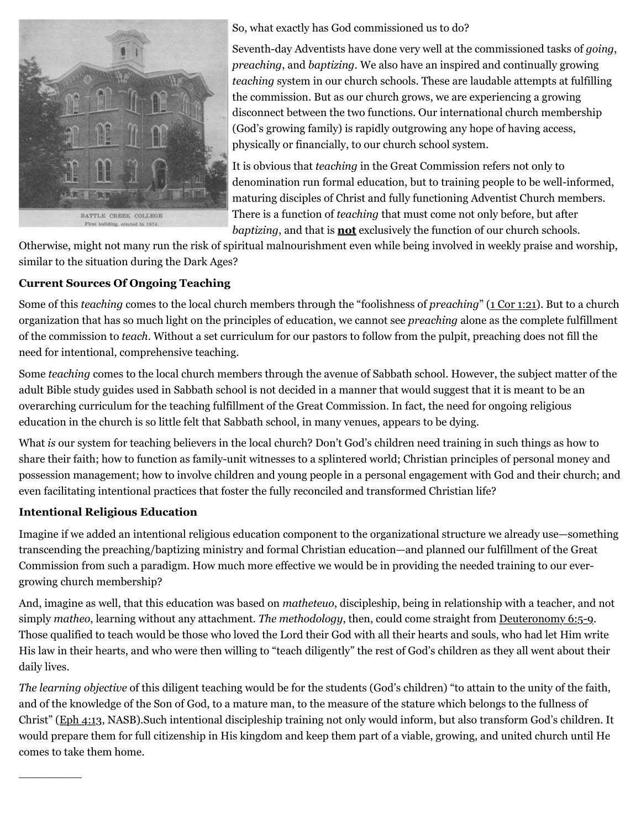

So, what exactly has God commissioned us to do?

Seventh-day Adventists have done very well at the commissioned tasks of *going*, *preaching*, and *baptizing*. We also have an inspired and continually growing *teaching* system in our church schools. These are laudable attempts at fulfilling the commission. But as our church grows, we are experiencing a growing disconnect between the two functions. Our international church membership (God's growing family) is rapidly outgrowing any hope of having access, physically or financially, to our church school system.

It is obvious that *teaching* in the Great Commission refers not only to denomination run formal education, but to training people to be well-informed, maturing disciples of Christ and fully functioning Adventist Church members. There is a function of *teaching* that must come not only before, but after *baptizing*, and that is **not** exclusively the function of our church schools.

Otherwise, might not many run the risk of spiritual malnourishment even while being involved in weekly praise and worship, similar to the situation during the Dark Ages?

## **Current Sources Of Ongoing Teaching**

Some of this *teaching* comes to the local church members through the "foolishness of *preaching*" [\(1 Cor 1:21](http://web.archive.org/web/20120512062858/http://www.biblestudytools.com/nas/1-corinthians/1-21.html)). But to a church organization that has so much light on the principles of education, we cannot see *preaching* alone as the complete fulfillment of the commission to *teach*. Without a set curriculum for our pastors to follow from the pulpit, preaching does not fill the need for intentional, comprehensive teaching.

Some *teaching* comes to the local church members through the avenue of Sabbath school. However, the subject matter of the adult Bible study guides used in Sabbath school is not decided in a manner that would suggest that it is meant to be an overarching curriculum for the teaching fulfillment of the Great Commission. In fact, the need for ongoing religious education in the church is so little felt that Sabbath school, in many venues, appears to be dying.

What *is* our system for teaching believers in the local church? Don't God's children need training in such things as how to share their faith; how to function as family-unit witnesses to a splintered world; Christian principles of personal money and possession management; how to involve children and young people in a personal engagement with God and their church; and even facilitating intentional practices that foster the fully reconciled and transformed Christian life?

## **Intentional Religious Education**

 $\overline{\phantom{a}}$ 

Imagine if we added an intentional religious education component to the organizational structure we already use—something transcending the preaching/baptizing ministry and formal Christian education—and planned our fulfillment of the Great Commission from such a paradigm. How much more effective we would be in providing the needed training to our evergrowing church membership?

And, imagine as well, that this education was based on *matheteuo*, discipleship, being in relationship with a teacher, and not simply *matheo*, learning without any attachment. *The methodology*, then, could come straight from <u>[Deuteronomy 6:5-9](http://web.archive.org/web/20120512062858/http://www.biblestudytools.com/nas/deuteronomy/passage.aspx?q=Deuteronomy+6:5-9)</u>. Those qualified to teach would be those who loved the Lord their God with all their hearts and souls, who had let Him write His law in their hearts, and who were then willing to "teach diligently" the rest of God's children as they all went about their daily lives.

*The learning objective* of this diligent teaching would be for the students (God's children) "to attain to the unity of the faith, and of the knowledge of the Son of God, to a mature man, to the measure of the stature which belongs to the fullness of Christ" ([Eph 4:13](http://web.archive.org/web/20120512062858/http://www.biblestudytools.com/nas/ephesians/4-13.html), NASB).Such intentional discipleship training not only would inform, but also transform God's children. It would prepare them for full citizenship in His kingdom and keep them part of a viable, growing, and united church until He comes to take them home.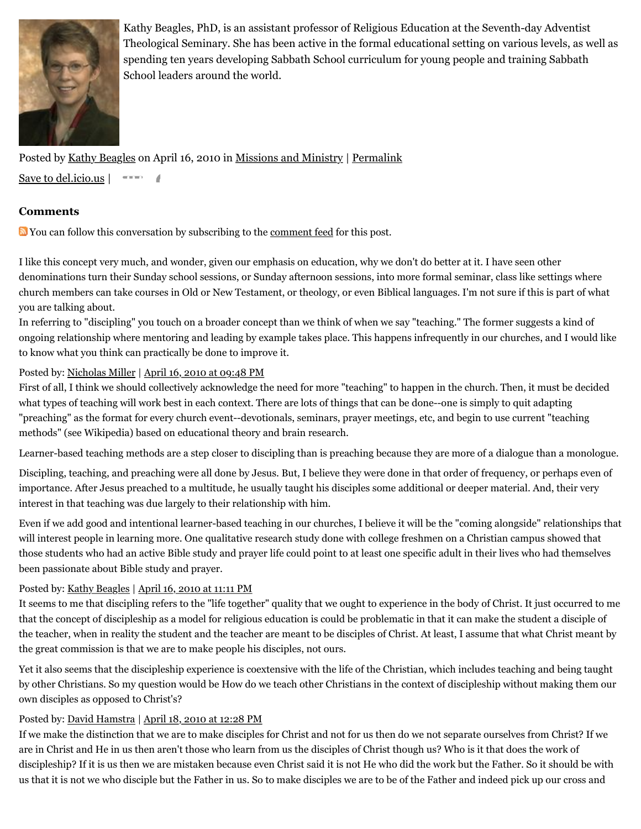

Kathy Beagles, PhD, is an assistant professor of Religious Education at the Seventh-day Adventist Theological Seminary. She has been active in the formal educational setting on various levels, as well as spending ten years developing Sabbath School curriculum for young people and training Sabbath School leaders around the world.

Posted by [Kathy Beagles](http://web.archive.org/web/20120512062858/http://profile.typepad.com/kbeagles) on April 16, 2010 in [Missions and Ministry](http://web.archive.org/web/20120512062858/http://www.memorymeaningfaith.org/blog/missions-and-ministry/) | [Permalink](http://web.archive.org/web/20120512062858/http://www.memorymeaningfaith.org/blog/2010/04/the-great-comission-inside-the-church.html) [Save to del.icio.us](http://web.archive.org/web/20120512062858/http://del.icio.us/post) |

#### **Comments**

**D**You can follow this conversation by subscribing to the [comment feed](http://web.archive.org/web/20120512062858/http://www.memorymeaningfaith.org/blog/2010/04/the-great-comission-inside-the-church/comments/atom.xml) for this post.

I like this concept very much, and wonder, given our emphasis on education, why we don't do better at it. I have seen other denominations turn their Sunday school sessions, or Sunday afternoon sessions, into more formal seminar, class like settings where church members can take courses in Old or New Testament, or theology, or even Biblical languages. I'm not sure if this is part of what you are talking about.

In referring to "discipling" you touch on a broader concept than we think of when we say "teaching." The former suggests a kind of ongoing relationship where mentoring and leading by example takes place. This happens infrequently in our churches, and I would like to know what you think can practically be done to improve it.

#### Posted by: [Nicholas Miller](http://web.archive.org/web/20120512062858/http://profile.typepad.com/npmiller) | [April 16, 2010 at 09:48 PM](http://web.archive.org/web/20120512062858/http://www.memorymeaningfaith.org/blog/2010/04/the-great-comission-inside-the-church.html?cid=6a01287656f488970c0133ecbe4192970b#comment-6a01287656f488970c0133ecbe4192970b)

First of all, I think we should collectively acknowledge the need for more "teaching" to happen in the church. Then, it must be decided what types of teaching will work best in each context. There are lots of things that can be done--one is simply to quit adapting "preaching" as the format for every church event--devotionals, seminars, prayer meetings, etc, and begin to use current "teaching methods" (see Wikipedia) based on educational theory and brain research.

Learner-based teaching methods are a step closer to discipling than is preaching because they are more of a dialogue than a monologue.

Discipling, teaching, and preaching were all done by Jesus. But, I believe they were done in that order of frequency, or perhaps even of importance. After Jesus preached to a multitude, he usually taught his disciples some additional or deeper material. And, their very interest in that teaching was due largely to their relationship with him.

Even if we add good and intentional learner-based teaching in our churches, I believe it will be the "coming alongside" relationships that will interest people in learning more. One qualitative research study done with college freshmen on a Christian campus showed that those students who had an active Bible study and prayer life could point to at least one specific adult in their lives who had themselves been passionate about Bible study and prayer.

#### Posted by: [Kathy Beagles](http://web.archive.org/web/20120512062858/http://profile.typepad.com/kbeagles) | [April 16, 2010 at 11:11 PM](http://web.archive.org/web/20120512062858/http://www.memorymeaningfaith.org/blog/2010/04/the-great-comission-inside-the-church.html?cid=6a01287656f488970c01347feea1a4970c#comment-6a01287656f488970c01347feea1a4970c)

It seems to me that discipling refers to the "life together" quality that we ought to experience in the body of Christ. It just occurred to me that the concept of discipleship as a model for religious education is could be problematic in that it can make the student a disciple of the teacher, when in reality the student and the teacher are meant to be disciples of Christ. At least, I assume that what Christ meant by the great commission is that we are to make people his disciples, not ours.

Yet it also seems that the discipleship experience is coextensive with the life of the Christian, which includes teaching and being taught by other Christians. So my question would be How do we teach other Christians in the context of discipleship without making them our own disciples as opposed to Christ's?

#### Posted by: [David Hamstra](http://web.archive.org/web/20120512062858/http://profile.typepad.com/davidhamstra) | [April 18, 2010 at 12:28 PM](http://web.archive.org/web/20120512062858/http://www.memorymeaningfaith.org/blog/2010/04/the-great-comission-inside-the-church.html?cid=6a01287656f488970c0133ecc51ee8970b#comment-6a01287656f488970c0133ecc51ee8970b)

If we make the distinction that we are to make disciples for Christ and not for us then do we not separate ourselves from Christ? If we are in Christ and He in us then aren't those who learn from us the disciples of Christ though us? Who is it that does the work of discipleship? If it is us then we are mistaken because even Christ said it is not He who did the work but the Father. So it should be with us that it is not we who disciple but the Father in us. So to make disciples we are to be of the Father and indeed pick up our cross and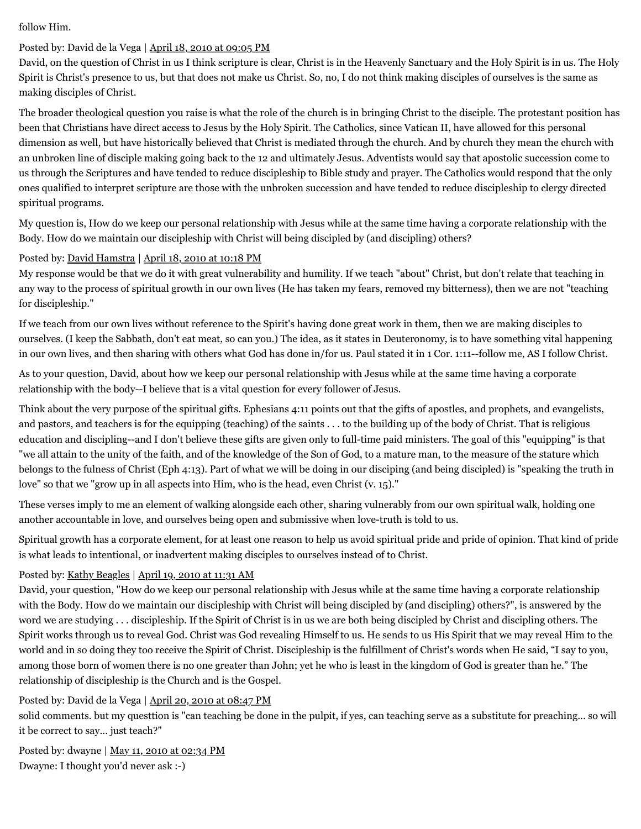follow Him.

#### Posted by: David de la Vega | [April 18, 2010 at 09:05 PM](http://web.archive.org/web/20120512062858/http://www.memorymeaningfaith.org/blog/2010/04/the-great-comission-inside-the-church.html?cid=6a01287656f488970c0133ecc70c63970b#comment-6a01287656f488970c0133ecc70c63970b)

David, on the question of Christ in us I think scripture is clear, Christ is in the Heavenly Sanctuary and the Holy Spirit is in us. The Holy Spirit is Christ's presence to us, but that does not make us Christ. So, no, I do not think making disciples of ourselves is the same as making disciples of Christ.

The broader theological question you raise is what the role of the church is in bringing Christ to the disciple. The protestant position has been that Christians have direct access to Jesus by the Holy Spirit. The Catholics, since Vatican II, have allowed for this personal dimension as well, but have historically believed that Christ is mediated through the church. And by church they mean the church with an unbroken line of disciple making going back to the 12 and ultimately Jesus. Adventists would say that apostolic succession come to us through the Scriptures and have tended to reduce discipleship to Bible study and prayer. The Catholics would respond that the only ones qualified to interpret scripture are those with the unbroken succession and have tended to reduce discipleship to clergy directed spiritual programs.

My question is, How do we keep our personal relationship with Jesus while at the same time having a corporate relationship with the Body. How do we maintain our discipleship with Christ will being discipled by (and discipling) others?

#### Posted by: [David Hamstra](http://web.archive.org/web/20120512062858/http://profile.typepad.com/davidhamstra) | [April 18, 2010 at 10:18 PM](http://web.archive.org/web/20120512062858/http://www.memorymeaningfaith.org/blog/2010/04/the-great-comission-inside-the-church.html?cid=6a01287656f488970c0133ecc751d1970b#comment-6a01287656f488970c0133ecc751d1970b)

My response would be that we do it with great vulnerability and humility. If we teach "about" Christ, but don't relate that teaching in any way to the process of spiritual growth in our own lives (He has taken my fears, removed my bitterness), then we are not "teaching for discipleship."

If we teach from our own lives without reference to the Spirit's having done great work in them, then we are making disciples to ourselves. (I keep the Sabbath, don't eat meat, so can you.) The idea, as it states in Deuteronomy, is to have something vital happening in our own lives, and then sharing with others what God has done in/for us. Paul stated it in 1 Cor. 1:11--follow me, AS I follow Christ.

As to your question, David, about how we keep our personal relationship with Jesus while at the same time having a corporate relationship with the body--I believe that is a vital question for every follower of Jesus.

Think about the very purpose of the spiritual gifts. Ephesians 4:11 points out that the gifts of apostles, and prophets, and evangelists, and pastors, and teachers is for the equipping (teaching) of the saints . . . to the building up of the body of Christ. That is religious education and discipling--and I don't believe these gifts are given only to full-time paid ministers. The goal of this "equipping" is that "we all attain to the unity of the faith, and of the knowledge of the Son of God, to a mature man, to the measure of the stature which belongs to the fulness of Christ (Eph 4:13). Part of what we will be doing in our disciping (and being discipled) is "speaking the truth in love" so that we "grow up in all aspects into Him, who is the head, even Christ (v. 15)."

These verses imply to me an element of walking alongside each other, sharing vulnerably from our own spiritual walk, holding one another accountable in love, and ourselves being open and submissive when love-truth is told to us.

Spiritual growth has a corporate element, for at least one reason to help us avoid spiritual pride and pride of opinion. That kind of pride is what leads to intentional, or inadvertent making disciples to ourselves instead of to Christ.

#### Posted by: [Kathy Beagles](http://web.archive.org/web/20120512062858/http://profile.typepad.com/kbeagles) | [April 19, 2010 at 11:31 AM](http://web.archive.org/web/20120512062858/http://www.memorymeaningfaith.org/blog/2010/04/the-great-comission-inside-the-church.html?cid=6a01287656f488970c01347ffa516f970c#comment-6a01287656f488970c01347ffa516f970c)

David, your question, "How do we keep our personal relationship with Jesus while at the same time having a corporate relationship with the Body. How do we maintain our discipleship with Christ will being discipled by (and discipling) others?", is answered by the word we are studying . . . discipleship. If the Spirit of Christ is in us we are both being discipled by Christ and discipling others. The Spirit works through us to reveal God. Christ was God revealing Himself to us. He sends to us His Spirit that we may reveal Him to the world and in so doing they too receive the Spirit of Christ. Discipleship is the fulfillment of Christ's words when He said, "I say to you, among those born of women there is no one greater than John; yet he who is least in the kingdom of God is greater than he." The relationship of discipleship is the Church and is the Gospel.

#### Posted by: David de la Vega | [April 20, 2010 at 08:47 PM](http://web.archive.org/web/20120512062858/http://www.memorymeaningfaith.org/blog/2010/04/the-great-comission-inside-the-church.html?cid=6a01287656f488970c0133ecd3a849970b#comment-6a01287656f488970c0133ecd3a849970b)

solid comments. but my questtion is "can teaching be done in the pulpit, if yes, can teaching serve as a substitute for preaching... so will it be correct to say... just teach?"

Posted by: dwayne | [May 11, 2010 at 02:34 PM](http://web.archive.org/web/20120512062858/http://www.memorymeaningfaith.org/blog/2010/04/the-great-comission-inside-the-church.html?cid=6a01287656f488970c0133ed7a520b970b#comment-6a01287656f488970c0133ed7a520b970b) Dwayne: I thought you'd never ask :-)